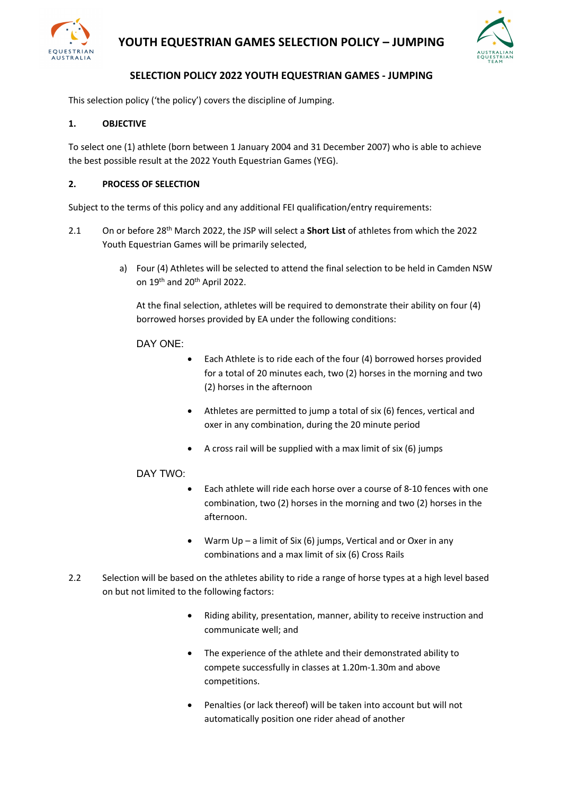

# **YOUTH EQUESTRIAN GAMES SELECTION POLICY – JUMPING**



# **SELECTION POLICY 2022 YOUTH EQUESTRIAN GAMES - JUMPING**

This selection policy ('the policy') covers the discipline of Jumping.

# **1. OBJECTIVE**

To select one (1) athlete (born between 1 January 2004 and 31 December 2007) who is able to achieve the best possible result at the 2022 Youth Equestrian Games (YEG).

## **2. PROCESS OF SELECTION**

Subject to the terms of this policy and any additional FEI qualification/entry requirements:

- 2.1 On or before 28th March 2022, the JSP will select a **Short List** of athletes from which the 2022 Youth Equestrian Games will be primarily selected,
	- a) Four (4) Athletes will be selected to attend the final selection to be held in Camden NSW on 19th and 20th April 2022.

At the final selection, athletes will be required to demonstrate their ability on four (4) borrowed horses provided by EA under the following conditions:

## DAY ONE:

- Each Athlete is to ride each of the four (4) borrowed horses provided for a total of 20 minutes each, two (2) horses in the morning and two (2) horses in the afternoon
- Athletes are permitted to jump a total of six (6) fences, vertical and oxer in any combination, during the 20 minute period
- A cross rail will be supplied with a max limit of six (6) jumps

## DAY TWO:

- Each athlete will ride each horse over a course of 8-10 fences with one combination, two (2) horses in the morning and two (2) horses in the afternoon.
- Warm  $Up a$  limit of Six (6) jumps, Vertical and or Oxer in any combinations and a max limit of six (6) Cross Rails
- 2.2 Selection will be based on the athletes ability to ride a range of horse types at a high level based on but not limited to the following factors:
	- Riding ability, presentation, manner, ability to receive instruction and communicate well; and
	- The experience of the athlete and their demonstrated ability to compete successfully in classes at 1.20m-1.30m and above competitions.
	- Penalties (or lack thereof) will be taken into account but will not automatically position one rider ahead of another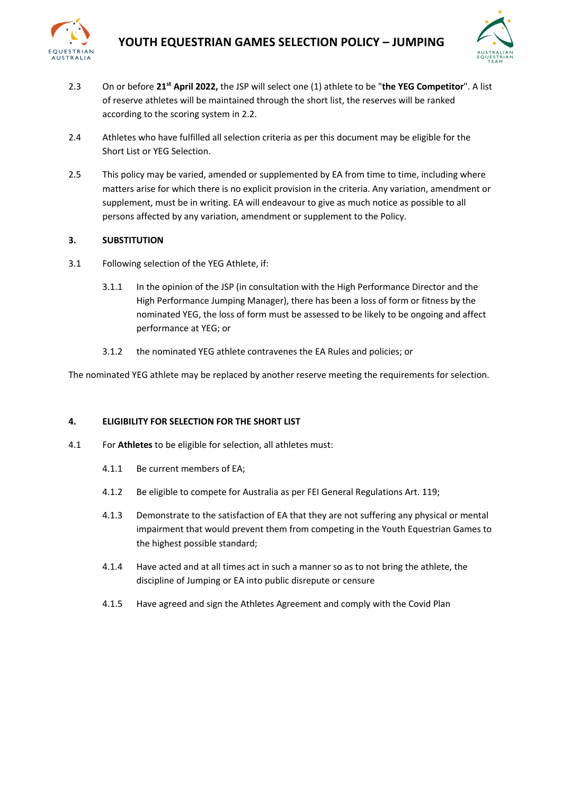



- 2.3 On or before **21st April 2022,** the JSP will select one (1) athlete to be "**the YEG Competitor**". A list of reserve athletes will be maintained through the short list, the reserves will be ranked according to the scoring system in 2.2.
- 2.4 Athletes who have fulfilled all selection criteria as per this document may be eligible for the Short List or YEG Selection.
- 2.5 This policy may be varied, amended or supplemented by EA from time to time, including where matters arise for which there is no explicit provision in the criteria. Any variation, amendment or supplement, must be in writing. EA will endeavour to give as much notice as possible to all persons affected by any variation, amendment or supplement to the Policy.

## **3. SUBSTITUTION**

- 3.1 Following selection of the YEG Athlete, if:
	- 3.1.1 In the opinion of the JSP (in consultation with the High Performance Director and the High Performance Jumping Manager), there has been a loss of form or fitness by the nominated YEG, the loss of form must be assessed to be likely to be ongoing and affect performance at YEG; or
	- 3.1.2 the nominated YEG athlete contravenes the EA Rules and policies; or

The nominated YEG athlete may be replaced by another reserve meeting the requirements for selection.

## **4. ELIGIBILITY FOR SELECTION FOR THE SHORT LIST**

- 4.1 For **Athletes** to be eligible for selection, all athletes must:
	- 4.1.1 Be current members of EA;
	- 4.1.2 Be eligible to compete for Australia as per FEI General Regulations Art. 119;
	- 4.1.3 Demonstrate to the satisfaction of EA that they are not suffering any physical or mental impairment that would prevent them from competing in the Youth Equestrian Games to the highest possible standard;
	- 4.1.4 Have acted and at all times act in such a manner so as to not bring the athlete, the discipline of Jumping or EA into public disrepute or censure
	- 4.1.5 Have agreed and sign the Athletes Agreement and comply with the Covid Plan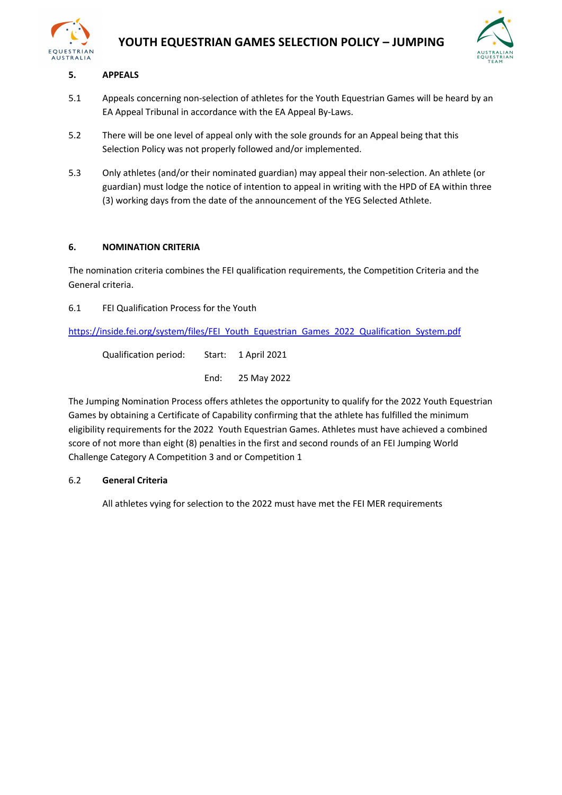



# **5. APPEALS**

- 5.1 Appeals concerning non-selection of athletes for the Youth Equestrian Games will be heard by an EA Appeal Tribunal in accordance with the EA Appeal By-Laws.
- 5.2 There will be one level of appeal only with the sole grounds for an Appeal being that this Selection Policy was not properly followed and/or implemented.
- 5.3 Only athletes (and/or their nominated guardian) may appeal their non-selection. An athlete (or guardian) must lodge the notice of intention to appeal in writing with the HPD of EA within three (3) working days from the date of the announcement of the YEG Selected Athlete.

## **6. NOMINATION CRITERIA**

The nomination criteria combines the FEI qualification requirements, the Competition Criteria and the General criteria.

6.1 FEI Qualification Process for the Youth

https://inside.fei.org/system/files/FEI\_Youth\_Equestrian\_Games\_2022\_Qualification\_System.pdf

Qualification period: Start: 1 April 2021 End: 25 May 2022

The Jumping Nomination Process offers athletes the opportunity to qualify for the 2022 Youth Equestrian Games by obtaining a Certificate of Capability confirming that the athlete has fulfilled the minimum eligibility requirements for the 2022 Youth Equestrian Games. Athletes must have achieved a combined score of not more than eight (8) penalties in the first and second rounds of an FEI Jumping World Challenge Category A Competition 3 and or Competition 1

## 6.2 **General Criteria**

All athletes vying for selection to the 2022 must have met the FEI MER requirements